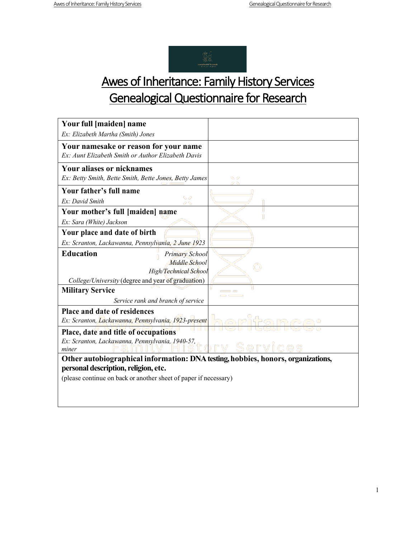

## Awes of Inheritance: Family History Services Genealogical Questionnaire for Research

| Your full [maiden] name                                                          |              |  |
|----------------------------------------------------------------------------------|--------------|--|
| Ex: Elizabeth Martha (Smith) Jones                                               |              |  |
| Your namesake or reason for your name                                            |              |  |
| Ex: Aunt Elizabeth Smith or Author Elizabeth Davis                               |              |  |
| <b>Your aliases or nicknames</b>                                                 |              |  |
| Ex: Betty Smith, Bette Smith, Bette Jones, Betty James                           |              |  |
| Your father's full name                                                          |              |  |
| S P<br>Ex: David Smith<br>99.                                                    |              |  |
| Your mother's full [maiden] name                                                 |              |  |
| Ex: Sara (White) Jackson                                                         |              |  |
| Your place and date of birth                                                     |              |  |
| Ex: Scranton, Lackawanna, Pennsylvania, 2 June 1923                              |              |  |
| <b>Education</b><br><b>Primary School</b>                                        |              |  |
| Middle School                                                                    |              |  |
| High/Technical School                                                            |              |  |
| College/University (degree and year of graduation)                               |              |  |
| <b>Military Service</b>                                                          | п<br>$=$ $-$ |  |
| Service rank and branch of service                                               |              |  |
| <b>Place and date of residences</b>                                              |              |  |
| Ex: Scranton, Lackawanna, Pennsylvania, 1923-present                             |              |  |
| Place, date and title of occupations                                             |              |  |
| Ex: Scranton, Lackawanna, Pennsylvania, 1940-57,                                 |              |  |
| miner                                                                            |              |  |
| Other autobiographical information: DNA testing, hobbies, honors, organizations, |              |  |
| personal description, religion, etc.                                             |              |  |
| (please continue on back or another sheet of paper if necessary)                 |              |  |
|                                                                                  |              |  |
|                                                                                  |              |  |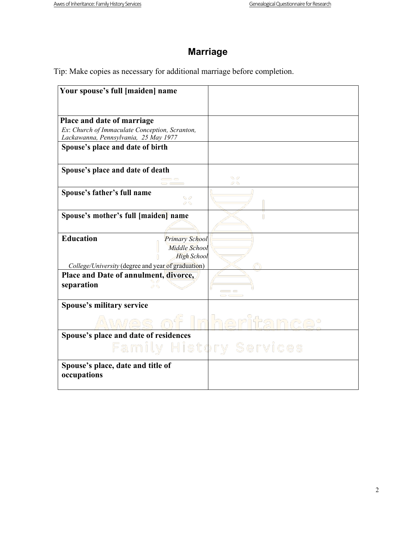### **Marriage**

Tip: Make copies as necessary for additional marriage before completion.

| Your spouse's full [maiden] name                                                                                                       |           |
|----------------------------------------------------------------------------------------------------------------------------------------|-----------|
| Place and date of marriage<br>Ex: Church of Immaculate Conception, Scranton,<br>Lackawanna, Pennsylvania, 25 May 1977                  |           |
| Spouse's place and date of birth                                                                                                       |           |
| Spouse's place and date of death                                                                                                       | S 6<br>20 |
| Spouse's father's full name<br>96<br>0 G                                                                                               |           |
| Spouse's mother's full [maiden] name                                                                                                   |           |
| <b>Education</b><br><b>Primary School</b><br>Middle School<br><b>High School</b><br>College/University (degree and year of graduation) |           |
| Place and Date of annulment, divorce,<br>separation                                                                                    |           |
| <b>Spouse's military service</b><br>WUL S                                                                                              | nher      |
| Spouse's place and date of residences<br><b>Family History Services</b>                                                                |           |
| Spouse's place, date and title of<br>occupations                                                                                       |           |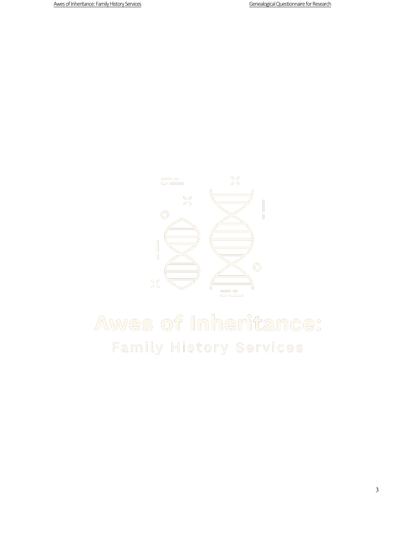

# Awes of Inheritance: Family History Services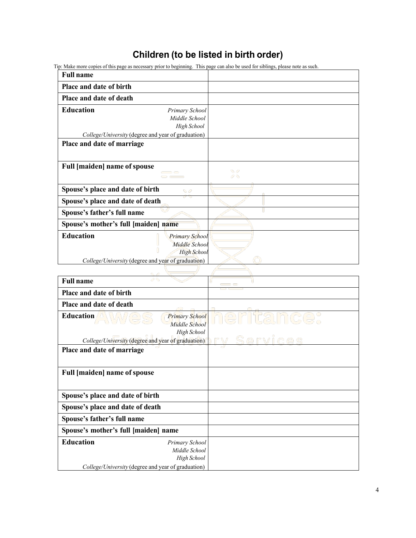#### **Children (to be listed in birth order)**

Tip: Make more copies of this page as necessary prior to beginning. This page can also be used for siblings, please note as such.

| <b>Full name</b>                                                                                                                       |               |
|----------------------------------------------------------------------------------------------------------------------------------------|---------------|
| Place and date of birth                                                                                                                |               |
| Place and date of death                                                                                                                |               |
| <b>Education</b><br>Primary School<br>Middle School<br>High School<br>College/University (degree and year of graduation)               |               |
| Place and date of marriage                                                                                                             |               |
| <b>Full [maiden] name of spouse</b><br>$\sim$ $\sim$ $\sim$<br><b>Contract Contract</b>                                                | $\odot$<br>23 |
| Spouse's place and date of birth<br>$\bullet$                                                                                          |               |
| Spouse's place and date of death                                                                                                       |               |
| Spouse's father's full name                                                                                                            |               |
| Spouse's mother's full [maiden] name                                                                                                   |               |
| <b>Education</b><br><b>Primary School</b><br>Middle School<br><b>High School</b><br>College/University (degree and year of graduation) |               |
| <b>B.</b> B                                                                                                                            |               |

| 00,<br><b>Full name</b>                                            |             |
|--------------------------------------------------------------------|-------------|
| Place and date of birth                                            |             |
| Place and date of death                                            |             |
| Education <b>AW</b> es<br><b>Primary School</b><br>Middle School   | heritance:  |
| High School                                                        |             |
| College/University (degree and year of graduation)                 | rv Services |
| Place and date of marriage                                         |             |
|                                                                    |             |
| <b>Full [maiden] name of spouse</b>                                |             |
|                                                                    |             |
| Spouse's place and date of birth                                   |             |
| Spouse's place and date of death                                   |             |
| Spouse's father's full name                                        |             |
| Spouse's mother's full [maiden] name                               |             |
| <b>Education</b><br>Primary School<br>Middle School<br>High School |             |
| College/University (degree and year of graduation)                 |             |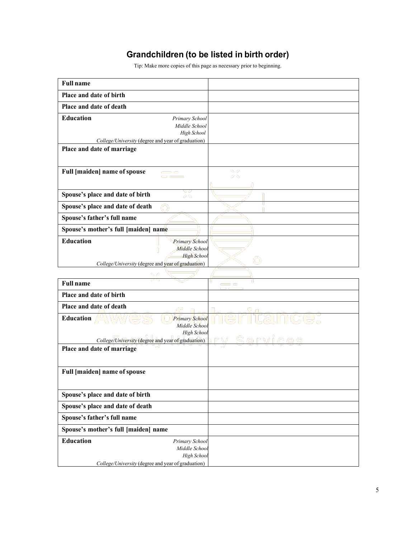#### **Grandchildren (to be listed in birth order)**

Tip: Make more copies of this page as necessary prior to beginning.

| <b>Full name</b>                                                                 |                     |
|----------------------------------------------------------------------------------|---------------------|
| Place and date of birth                                                          |                     |
| Place and date of death                                                          |                     |
| <b>Education</b><br>Primary School<br>Middle School<br>High School               |                     |
| College/University (degree and year of graduation)<br>Place and date of marriage |                     |
|                                                                                  |                     |
| <b>Full [maiden] name of spouse</b><br>$\sim$ $\sim$                             | $\mathcal{A}$<br>99 |
| - 6<br>Spouse's place and date of birth<br>29                                    |                     |
| Spouse's place and date of death                                                 |                     |
| Spouse's father's full name                                                      |                     |
|                                                                                  |                     |
| Spouse's mother's full [maiden] name                                             |                     |
| <b>Education</b><br><b>Primary School</b><br>Middle School                       |                     |
| <b>High School</b>                                                               |                     |
| College/University (degree and year of graduation)                               |                     |
|                                                                                  | П<br>T.             |
| <b>Full name</b>                                                                 | <b>CONTRACTOR</b>   |
| Place and date of birth                                                          |                     |
| Place and date of death<br>$\mathcal{L} = \mathcal{L}$                           |                     |
| Education<br><b>Primary School</b><br>Middle School<br>High School               | tainice.            |
| College/University (degree and year of graduation)                               | Services            |
| Place and date of marriage                                                       |                     |
| <b>Full [maiden] name of spouse</b>                                              |                     |
| Spouse's place and date of birth                                                 |                     |
| Spouse's place and date of death                                                 |                     |
| Spouse's father's full name                                                      |                     |
| Spouse's mother's full [maiden] name                                             |                     |
| <b>Education</b><br>Primary School                                               |                     |
| Middle School<br>High School                                                     |                     |

*College/University* (degree and year of graduation)